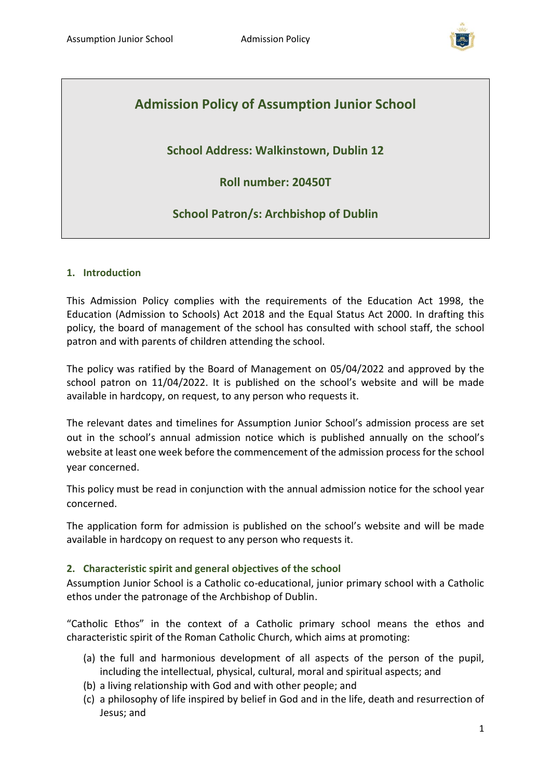

# **Admission Policy of Assumption Junior School**

# **School Address: Walkinstown, Dublin 12**

**Roll number: 20450T**

# **School Patron/s: Archbishop of Dublin**

#### **1. Introduction**

This Admission Policy complies with the requirements of the Education Act 1998, the Education (Admission to Schools) Act 2018 and the Equal Status Act 2000. In drafting this policy, the board of management of the school has consulted with school staff, the school patron and with parents of children attending the school.

The policy was ratified by the Board of Management on 05/04/2022 and approved by the school patron on 11/04/2022. It is published on the school's website and will be made available in hardcopy, on request, to any person who requests it.

The relevant dates and timelines for Assumption Junior School's admission process are set out in the school's annual admission notice which is published annually on the school's website at least one week before the commencement of the admission process for the school year concerned.

This policy must be read in conjunction with the annual admission notice for the school year concerned.

The application form for admission is published on the school's website and will be made available in hardcopy on request to any person who requests it.

#### **2. Characteristic spirit and general objectives of the school**

Assumption Junior School is a Catholic co-educational, junior primary school with a Catholic ethos under the patronage of the Archbishop of Dublin.

"Catholic Ethos" in the context of a Catholic primary school means the ethos and characteristic spirit of the Roman Catholic Church, which aims at promoting:

- (a) the full and harmonious development of all aspects of the person of the pupil, including the intellectual, physical, cultural, moral and spiritual aspects; and
- (b) a living relationship with God and with other people; and
- (c) a philosophy of life inspired by belief in God and in the life, death and resurrection of Jesus; and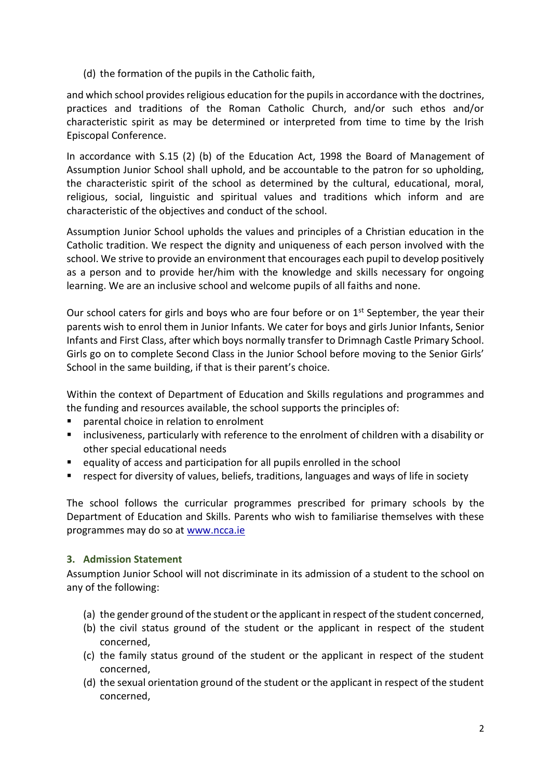(d) the formation of the pupils in the Catholic faith,

and which school provides religious education for the pupils in accordance with the doctrines, practices and traditions of the Roman Catholic Church, and/or such ethos and/or characteristic spirit as may be determined or interpreted from time to time by the Irish Episcopal Conference.

In accordance with S.15 (2) (b) of the Education Act, 1998 the Board of Management of Assumption Junior School shall uphold, and be accountable to the patron for so upholding, the characteristic spirit of the school as determined by the cultural, educational, moral, religious, social, linguistic and spiritual values and traditions which inform and are characteristic of the objectives and conduct of the school.

Assumption Junior School upholds the values and principles of a Christian education in the Catholic tradition. We respect the dignity and uniqueness of each person involved with the school. We strive to provide an environment that encourages each pupil to develop positively as a person and to provide her/him with the knowledge and skills necessary for ongoing learning. We are an inclusive school and welcome pupils of all faiths and none.

Our school caters for girls and boys who are four before or on  $1<sup>st</sup>$  September, the year their parents wish to enrol them in Junior Infants. We cater for boys and girls Junior Infants, Senior Infants and First Class, after which boys normally transfer to Drimnagh Castle Primary School. Girls go on to complete Second Class in the Junior School before moving to the Senior Girls' School in the same building, if that is their parent's choice.

Within the context of Department of Education and Skills regulations and programmes and the funding and resources available, the school supports the principles of:

- parental choice in relation to enrolment
- inclusiveness, particularly with reference to the enrolment of children with a disability or other special educational needs
- equality of access and participation for all pupils enrolled in the school
- respect for diversity of values, beliefs, traditions, languages and ways of life in society

The school follows the curricular programmes prescribed for primary schools by the Department of Education and Skills. Parents who wish to familiarise themselves with these programmes may do so at [www.ncca.ie](http://www.ncca.ie/)

#### **3. Admission Statement**

Assumption Junior School will not discriminate in its admission of a student to the school on any of the following:

- (a) the gender ground of the student or the applicant in respect of the student concerned,
- (b) the civil status ground of the student or the applicant in respect of the student concerned,
- (c) the family status ground of the student or the applicant in respect of the student concerned,
- (d) the sexual orientation ground of the student or the applicant in respect of the student concerned,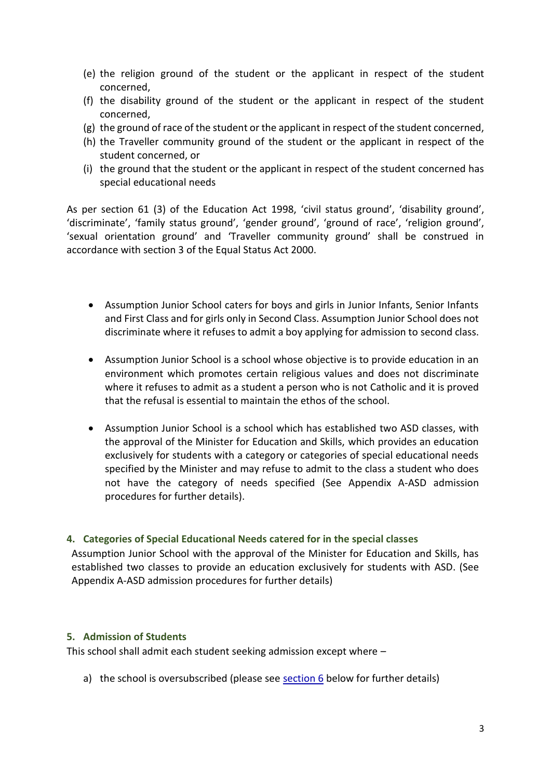- (e) the religion ground of the student or the applicant in respect of the student concerned,
- (f) the disability ground of the student or the applicant in respect of the student concerned,
- (g) the ground of race of the student or the applicant in respect of the student concerned,
- (h) the Traveller community ground of the student or the applicant in respect of the student concerned, or
- (i) the ground that the student or the applicant in respect of the student concerned has special educational needs

As per section 61 (3) of the Education Act 1998, 'civil status ground', 'disability ground', 'discriminate', 'family status ground', 'gender ground', 'ground of race', 'religion ground', 'sexual orientation ground' and 'Traveller community ground' shall be construed in accordance with section 3 of the Equal Status Act 2000.

- Assumption Junior School caters for boys and girls in Junior Infants, Senior Infants and First Class and for girls only in Second Class. Assumption Junior School does not discriminate where it refuses to admit a boy applying for admission to second class.
- Assumption Junior School is a school whose objective is to provide education in an environment which promotes certain religious values and does not discriminate where it refuses to admit as a student a person who is not Catholic and it is proved that the refusal is essential to maintain the ethos of the school.
- Assumption Junior School is a school which has established two ASD classes, with the approval of the Minister for Education and Skills, which provides an education exclusively for students with a category or categories of special educational needs specified by the Minister and may refuse to admit to the class a student who does not have the category of needs specified (See Appendix A-ASD admission procedures for further details).

#### **4. Categories of Special Educational Needs catered for in the special classes**

Assumption Junior School with the approval of the Minister for Education and Skills, has established two classes to provide an education exclusively for students with ASD. (See Appendix A-ASD admission procedures for further details)

#### **5. Admission of Students**

This school shall admit each student seeking admission except where –

a) the school is oversubscribed (please see [section 6](#page-3-0) below for further details)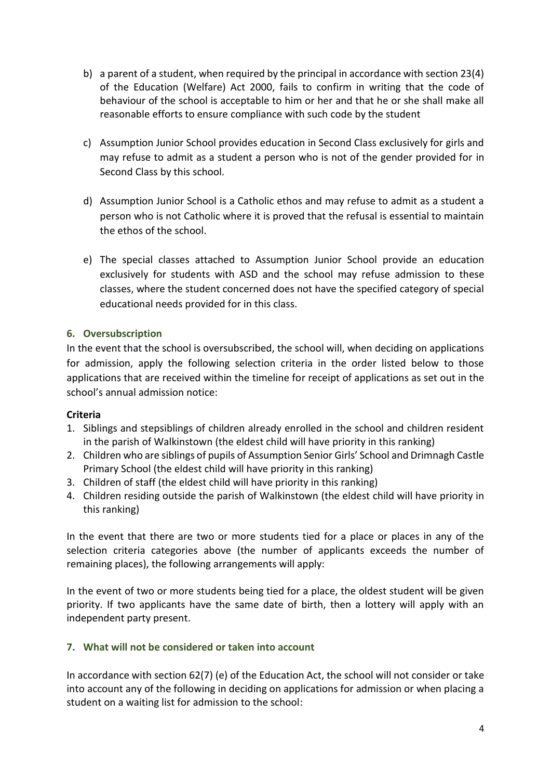- b) a parent of a student, when required by the principal in accordance with section 23(4) of the Education (Welfare) Act 2000, fails to confirm in writing that the code of behaviour of the school is acceptable to him or her and that he or she shall make all reasonable efforts to ensure compliance with such code by the student
- c) Assumption Junior School provides education in Second Class exclusively for girls and may refuse to admit as a student a person who is not of the gender provided for in Second Class by this school.
- d) Assumption Junior School is a Catholic ethos and may refuse to admit as a student a person who is not Catholic where it is proved that the refusal is essential to maintain the ethos of the school.
- e) The special classes attached to Assumption Junior School provide an education exclusively for students with ASD and the school may refuse admission to these classes, where the student concerned does not have the specified category of special educational needs provided for in this class.

# <span id="page-3-0"></span>**6. Oversubscription**

In the event that the school is oversubscribed, the school will, when deciding on applications for admission, apply the following selection criteria in the order listed below to those applications that are received within the timeline for receipt of applications as set out in the school's annual admission notice:

#### **Criteria**

- 1. Siblings and stepsiblings of children already enrolled in the school and children resident in the parish of Walkinstown (the eldest child will have priority in this ranking)
- 2. Children who are siblings of pupils of Assumption Senior Girls' School and Drimnagh Castle Primary School (the eldest child will have priority in this ranking)
- 3. Children of staff (the eldest child will have priority in this ranking)
- 4. Children residing outside the parish of Walkinstown (the eldest child will have priority in this ranking)

In the event that there are two or more students tied for a place or places in any of the selection criteria categories above (the number of applicants exceeds the number of remaining places), the following arrangements will apply:

In the event of two or more students being tied for a place, the oldest student will be given priority. If two applicants have the same date of birth, then a lottery will apply with an independent party present.

#### **7. What will not be considered or taken into account**

In accordance with section 62(7) (e) of the Education Act, the school will not consider or take into account any of the following in deciding on applications for admission or when placing a student on a waiting list for admission to the school: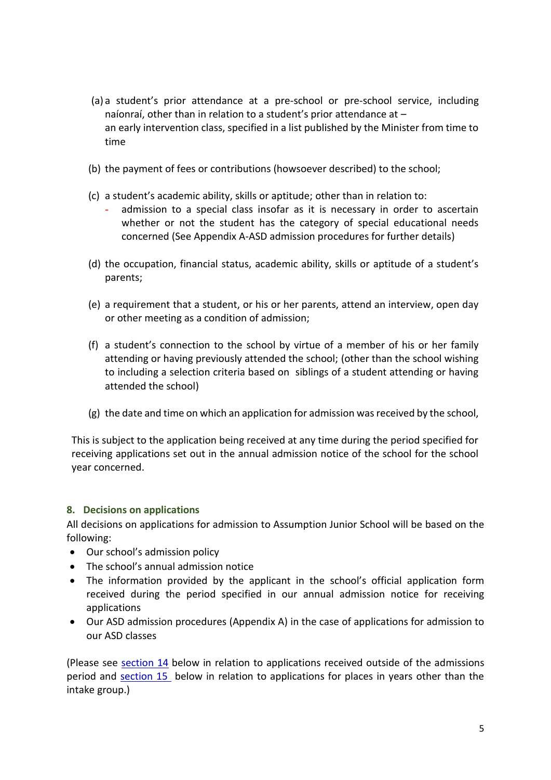- (a) a student's prior attendance at a pre-school or pre-school service, including naíonraí, other than in relation to a student's prior attendance at – an early intervention class, specified in a list published by the Minister from time to time
- (b) the payment of fees or contributions (howsoever described) to the school;
- (c) a student's academic ability, skills or aptitude; other than in relation to:
	- admission to a special class insofar as it is necessary in order to ascertain whether or not the student has the category of special educational needs concerned (See Appendix A-ASD admission procedures for further details)
- (d) the occupation, financial status, academic ability, skills or aptitude of a student's parents;
- (e) a requirement that a student, or his or her parents, attend an interview, open day or other meeting as a condition of admission;
- (f) a student's connection to the school by virtue of a member of his or her family attending or having previously attended the school; (other than the school wishing to including a selection criteria based on siblings of a student attending or having attended the school)
- (g) the date and time on which an application for admission was received by the school,

This is subject to the application being received at any time during the period specified for receiving applications set out in the annual admission notice of the school for the school year concerned.

#### **8. Decisions on applications**

All decisions on applications for admission to Assumption Junior School will be based on the following:

- Our school's admission policy
- The school's annual admission notice
- The information provided by the applicant in the school's official application form received during the period specified in our annual admission notice for receiving applications
- Our ASD admission procedures (Appendix A) in the case of applications for admission to our ASD classes

(Please see [section 14](#page-7-0) below in relation to applications received outside of the admissions period and [section 15](#page-7-1) below in relation to applications for places in years other than the intake group.)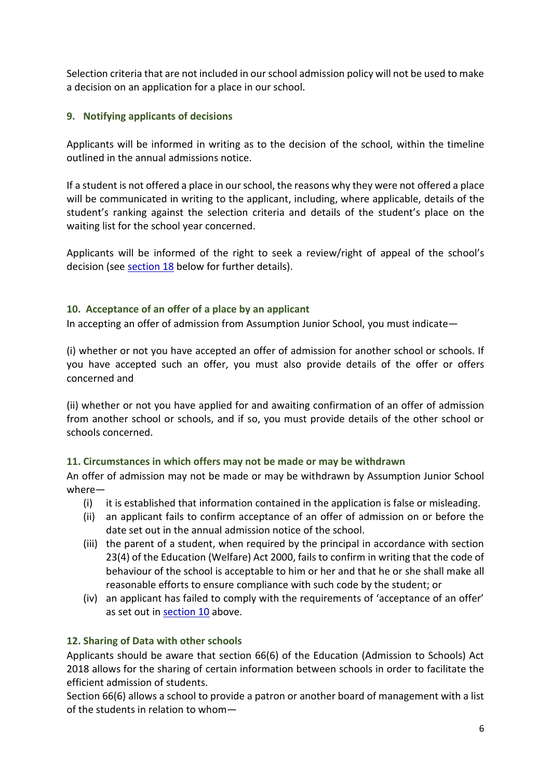Selection criteria that are not included in our school admission policy will not be used to make a decision on an application for a place in our school.

# **9. Notifying applicants of decisions**

Applicants will be informed in writing as to the decision of the school, within the timeline outlined in the annual admissions notice.

If a student is not offered a place in our school, the reasons why they were not offered a place will be communicated in writing to the applicant, including, where applicable, details of the student's ranking against the selection criteria and details of the student's place on the waiting list for the school year concerned.

Applicants will be informed of the right to seek a review/right of appeal of the school's decision (see [section 18](#page-7-2) below for further details).

#### <span id="page-5-0"></span>**10. Acceptance of an offer of a place by an applicant**

In accepting an offer of admission from Assumption Junior School, you must indicate—

(i) whether or not you have accepted an offer of admission for another school or schools. If you have accepted such an offer, you must also provide details of the offer or offers concerned and

(ii) whether or not you have applied for and awaiting confirmation of an offer of admission from another school or schools, and if so, you must provide details of the other school or schools concerned.

#### **11. Circumstances in which offers may not be made or may be withdrawn**

An offer of admission may not be made or may be withdrawn by Assumption Junior School where—

- (i) it is established that information contained in the application is false or misleading.
- (ii) an applicant fails to confirm acceptance of an offer of admission on or before the date set out in the annual admission notice of the school.
- (iii) the parent of a student, when required by the principal in accordance with section 23(4) of the Education (Welfare) Act 2000, fails to confirm in writing that the code of behaviour of the school is acceptable to him or her and that he or she shall make all reasonable efforts to ensure compliance with such code by the student; or
- (iv) an applicant has failed to comply with the requirements of 'acceptance of an offer' as set out in [section 10](#page-5-0) above.

# **12. Sharing of Data with other schools**

Applicants should be aware that section 66(6) of the Education (Admission to Schools) Act 2018 allows for the sharing of certain information between schools in order to facilitate the efficient admission of students.

Section 66(6) allows a school to provide a patron or another board of management with a list of the students in relation to whom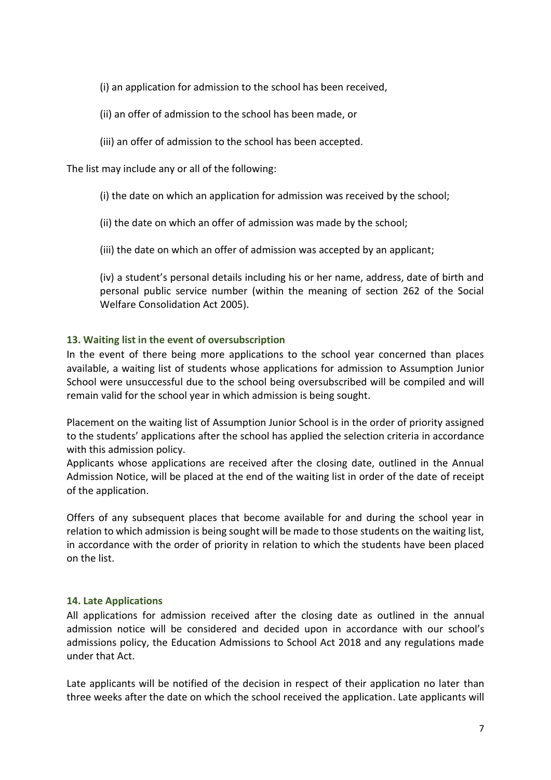(i) an application for admission to the school has been received,

- (ii) an offer of admission to the school has been made, or
- (iii) an offer of admission to the school has been accepted.

The list may include any or all of the following:

(i) the date on which an application for admission was received by the school;

(ii) the date on which an offer of admission was made by the school;

(iii) the date on which an offer of admission was accepted by an applicant;

(iv) a student's personal details including his or her name, address, date of birth and personal public service number (within the meaning of section 262 of the Social Welfare Consolidation Act 2005).

#### **13. Waiting list in the event of oversubscription**

In the event of there being more applications to the school year concerned than places available, a waiting list of students whose applications for admission to Assumption Junior School were unsuccessful due to the school being oversubscribed will be compiled and will remain valid for the school year in which admission is being sought.

Placement on the waiting list of Assumption Junior School is in the order of priority assigned to the students' applications after the school has applied the selection criteria in accordance with this admission policy.

Applicants whose applications are received after the closing date, outlined in the Annual Admission Notice, will be placed at the end of the waiting list in order of the date of receipt of the application.

Offers of any subsequent places that become available for and during the school year in relation to which admission is being sought will be made to those students on the waiting list, in accordance with the order of priority in relation to which the students have been placed on the list.

#### **14. Late Applications**

All applications for admission received after the closing date as outlined in the annual admission notice will be considered and decided upon in accordance with our school's admissions policy, the Education Admissions to School Act 2018 and any regulations made under that Act.

Late applicants will be notified of the decision in respect of their application no later than three weeks after the date on which the school received the application. Late applicants will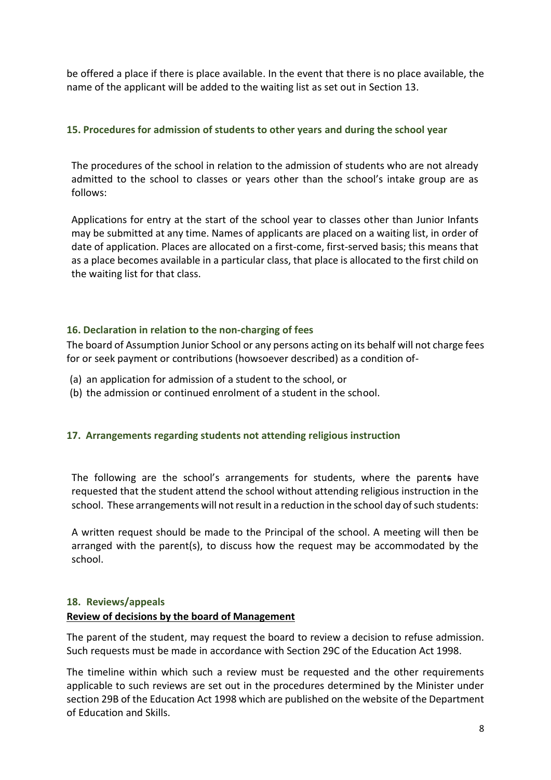be offered a place if there is place available. In the event that there is no place available, the name of the applicant will be added to the waiting list as set out in Section 13.

#### <span id="page-7-0"></span>**15. Procedures for admission of students to other years and during the school year**

The procedures of the school in relation to the admission of students who are not already admitted to the school to classes or years other than the school's intake group are as follows:

Applications for entry at the start of the school year to classes other than Junior Infants may be submitted at any time. Names of applicants are placed on a waiting list, in order of date of application. Places are allocated on a first-come, first-served basis; this means that as a place becomes available in a particular class, that place is allocated to the first child on the waiting list for that class.

#### <span id="page-7-1"></span>**16. Declaration in relation to the non-charging of fees**

The board of Assumption Junior School or any persons acting on its behalf will not charge fees for or seek payment or contributions (howsoever described) as a condition of-

- (a) an application for admission of a student to the school, or
- (b) the admission or continued enrolment of a student in the school.

#### **17. Arrangements regarding students not attending religious instruction**

The following are the school's arrangements for students, where the parents have requested that the student attend the school without attending religious instruction in the school. These arrangements will not result in a reduction in the school day of such students:

A written request should be made to the Principal of the school. A meeting will then be arranged with the parent(s), to discuss how the request may be accommodated by the school.

#### <span id="page-7-2"></span>**18. Reviews/appeals**

#### **Review of decisions by the board of Management**

The parent of the student, may request the board to review a decision to refuse admission. Such requests must be made in accordance with Section 29C of the Education Act 1998.

The timeline within which such a review must be requested and the other requirements applicable to such reviews are set out in the procedures determined by the Minister under section 29B of the Education Act 1998 which are published on the website of the Department of Education and Skills.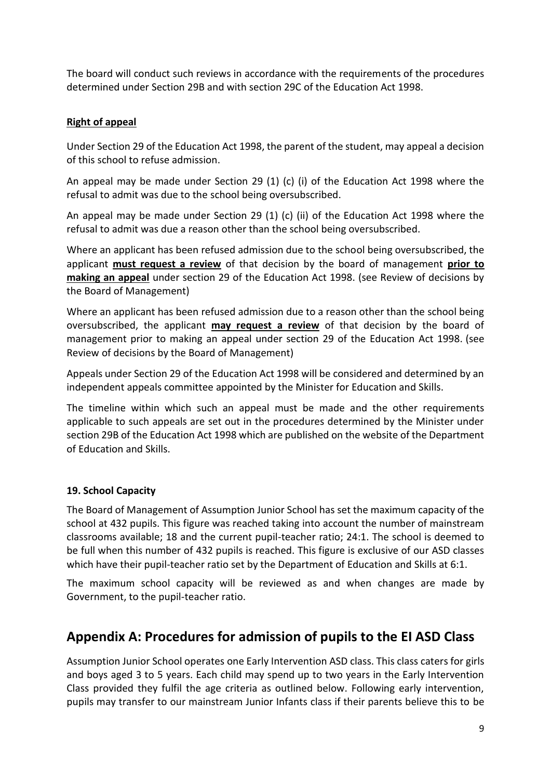The board will conduct such reviews in accordance with the requirements of the procedures determined under Section 29B and with section 29C of the Education Act 1998.

# **Right of appeal**

Under Section 29 of the Education Act 1998, the parent of the student, may appeal a decision of this school to refuse admission.

An appeal may be made under Section 29 (1) (c) (i) of the Education Act 1998 where the refusal to admit was due to the school being oversubscribed.

An appeal may be made under Section 29 (1) (c) (ii) of the Education Act 1998 where the refusal to admit was due a reason other than the school being oversubscribed.

Where an applicant has been refused admission due to the school being oversubscribed, the applicant **must request a review** of that decision by the board of management **prior to making an appeal** under section 29 of the Education Act 1998. (see Review of decisions by the Board of Management)

Where an applicant has been refused admission due to a reason other than the school being oversubscribed, the applicant **may request a review** of that decision by the board of management prior to making an appeal under section 29 of the Education Act 1998. (see Review of decisions by the Board of Management)

Appeals under Section 29 of the Education Act 1998 will be considered and determined by an independent appeals committee appointed by the Minister for Education and Skills.

The timeline within which such an appeal must be made and the other requirements applicable to such appeals are set out in the procedures determined by the Minister under section 29B of the Education Act 1998 which are published on the website of the Department of Education and Skills.

# **19. School Capacity**

The Board of Management of Assumption Junior School has set the maximum capacity of the school at 432 pupils. This figure was reached taking into account the number of mainstream classrooms available; 18 and the current pupil-teacher ratio; 24:1. The school is deemed to be full when this number of 432 pupils is reached. This figure is exclusive of our ASD classes which have their pupil-teacher ratio set by the Department of Education and Skills at 6:1.

The maximum school capacity will be reviewed as and when changes are made by Government, to the pupil-teacher ratio.

# **Appendix A: Procedures for admission of pupils to the EI ASD Class**

Assumption Junior School operates one Early Intervention ASD class. This class caters for girls and boys aged 3 to 5 years. Each child may spend up to two years in the Early Intervention Class provided they fulfil the age criteria as outlined below. Following early intervention, pupils may transfer to our mainstream Junior Infants class if their parents believe this to be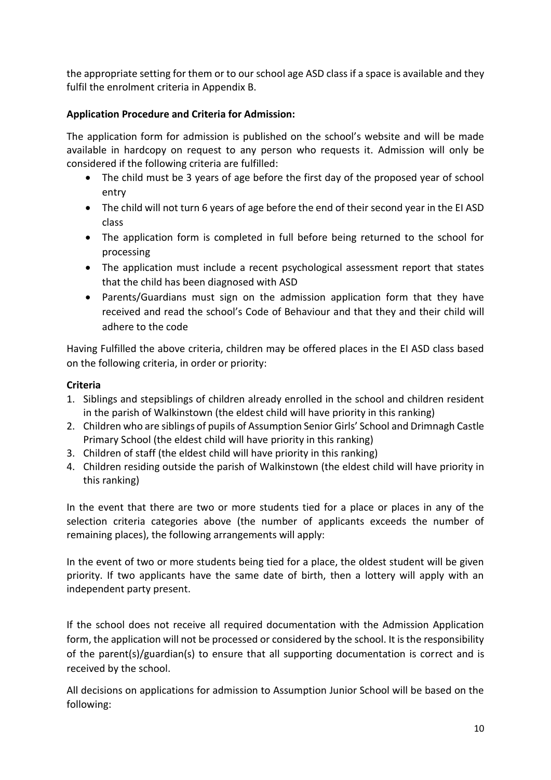the appropriate setting for them or to our school age ASD class if a space is available and they fulfil the enrolment criteria in Appendix B.

# **Application Procedure and Criteria for Admission:**

The application form for admission is published on the school's website and will be made available in hardcopy on request to any person who requests it. Admission will only be considered if the following criteria are fulfilled:

- The child must be 3 years of age before the first day of the proposed year of school entry
- The child will not turn 6 years of age before the end of their second year in the EI ASD class
- The application form is completed in full before being returned to the school for processing
- The application must include a recent psychological assessment report that states that the child has been diagnosed with ASD
- Parents/Guardians must sign on the admission application form that they have received and read the school's Code of Behaviour and that they and their child will adhere to the code

Having Fulfilled the above criteria, children may be offered places in the EI ASD class based on the following criteria, in order or priority:

#### **Criteria**

- 1. Siblings and stepsiblings of children already enrolled in the school and children resident in the parish of Walkinstown (the eldest child will have priority in this ranking)
- 2. Children who are siblings of pupils of Assumption Senior Girls' School and Drimnagh Castle Primary School (the eldest child will have priority in this ranking)
- 3. Children of staff (the eldest child will have priority in this ranking)
- 4. Children residing outside the parish of Walkinstown (the eldest child will have priority in this ranking)

In the event that there are two or more students tied for a place or places in any of the selection criteria categories above (the number of applicants exceeds the number of remaining places), the following arrangements will apply:

In the event of two or more students being tied for a place, the oldest student will be given priority. If two applicants have the same date of birth, then a lottery will apply with an independent party present.

If the school does not receive all required documentation with the Admission Application form, the application will not be processed or considered by the school. It is the responsibility of the parent(s)/guardian(s) to ensure that all supporting documentation is correct and is received by the school.

All decisions on applications for admission to Assumption Junior School will be based on the following: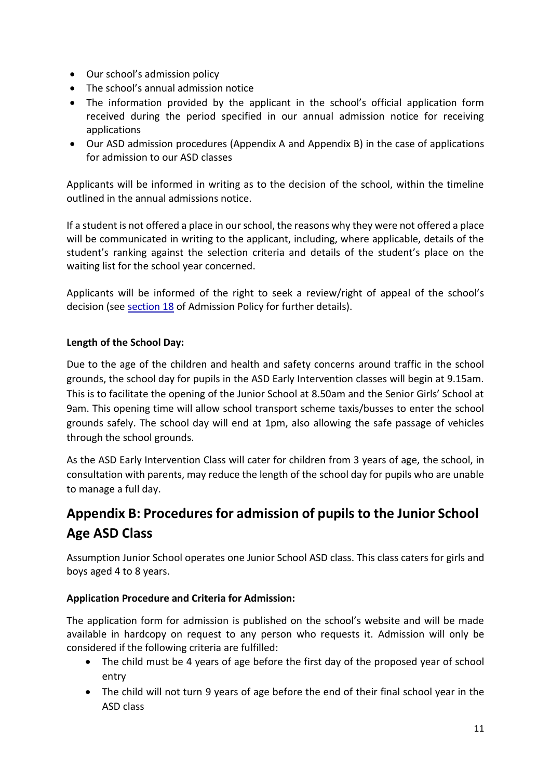- Our school's admission policy
- The school's annual admission notice
- The information provided by the applicant in the school's official application form received during the period specified in our annual admission notice for receiving applications
- Our ASD admission procedures (Appendix A and Appendix B) in the case of applications for admission to our ASD classes

Applicants will be informed in writing as to the decision of the school, within the timeline outlined in the annual admissions notice.

If a student is not offered a place in our school, the reasons why they were not offered a place will be communicated in writing to the applicant, including, where applicable, details of the student's ranking against the selection criteria and details of the student's place on the waiting list for the school year concerned.

Applicants will be informed of the right to seek a review/right of appeal of the school's decision (see [section 18](#page-7-2) of Admission Policy for further details).

# **Length of the School Day:**

Due to the age of the children and health and safety concerns around traffic in the school grounds, the school day for pupils in the ASD Early Intervention classes will begin at 9.15am. This is to facilitate the opening of the Junior School at 8.50am and the Senior Girls' School at 9am. This opening time will allow school transport scheme taxis/busses to enter the school grounds safely. The school day will end at 1pm, also allowing the safe passage of vehicles through the school grounds.

As the ASD Early Intervention Class will cater for children from 3 years of age, the school, in consultation with parents, may reduce the length of the school day for pupils who are unable to manage a full day.

# **Appendix B: Procedures for admission of pupils to the Junior School Age ASD Class**

Assumption Junior School operates one Junior School ASD class. This class caters for girls and boys aged 4 to 8 years.

# **Application Procedure and Criteria for Admission:**

The application form for admission is published on the school's website and will be made available in hardcopy on request to any person who requests it. Admission will only be considered if the following criteria are fulfilled:

- The child must be 4 years of age before the first day of the proposed year of school entry
- The child will not turn 9 years of age before the end of their final school year in the ASD class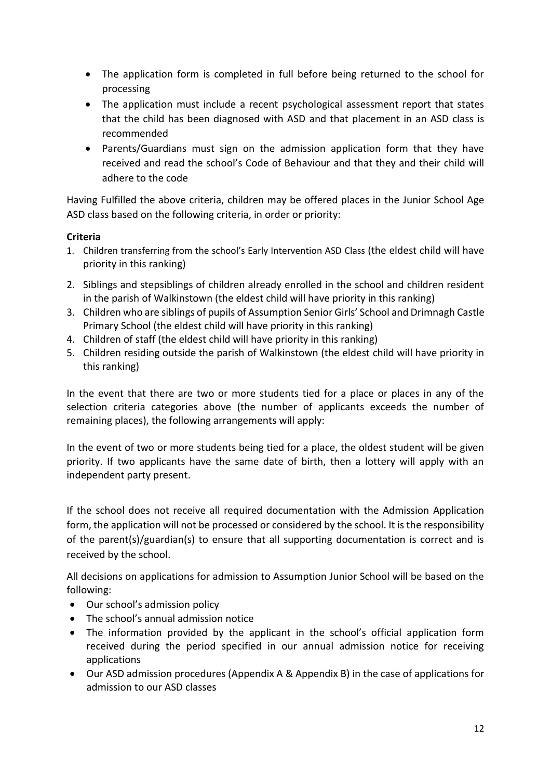- The application form is completed in full before being returned to the school for processing
- The application must include a recent psychological assessment report that states that the child has been diagnosed with ASD and that placement in an ASD class is recommended
- Parents/Guardians must sign on the admission application form that they have received and read the school's Code of Behaviour and that they and their child will adhere to the code

Having Fulfilled the above criteria, children may be offered places in the Junior School Age ASD class based on the following criteria, in order or priority:

# **Criteria**

- 1. Children transferring from the school's Early Intervention ASD Class (the eldest child will have priority in this ranking)
- 2. Siblings and stepsiblings of children already enrolled in the school and children resident in the parish of Walkinstown (the eldest child will have priority in this ranking)
- 3. Children who are siblings of pupils of Assumption Senior Girls' School and Drimnagh Castle Primary School (the eldest child will have priority in this ranking)
- 4. Children of staff (the eldest child will have priority in this ranking)
- 5. Children residing outside the parish of Walkinstown (the eldest child will have priority in this ranking)

In the event that there are two or more students tied for a place or places in any of the selection criteria categories above (the number of applicants exceeds the number of remaining places), the following arrangements will apply:

In the event of two or more students being tied for a place, the oldest student will be given priority. If two applicants have the same date of birth, then a lottery will apply with an independent party present.

If the school does not receive all required documentation with the Admission Application form, the application will not be processed or considered by the school. It is the responsibility of the parent(s)/guardian(s) to ensure that all supporting documentation is correct and is received by the school.

All decisions on applications for admission to Assumption Junior School will be based on the following:

- Our school's admission policy
- The school's annual admission notice
- The information provided by the applicant in the school's official application form received during the period specified in our annual admission notice for receiving applications
- Our ASD admission procedures (Appendix A & Appendix B) in the case of applications for admission to our ASD classes